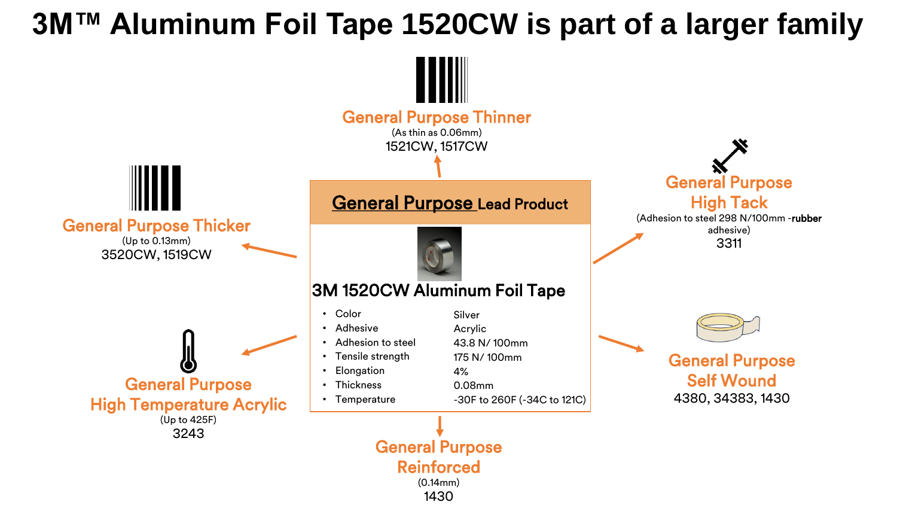## **3M™ Aluminum Foil Tape 1520CW is part of a larger family**